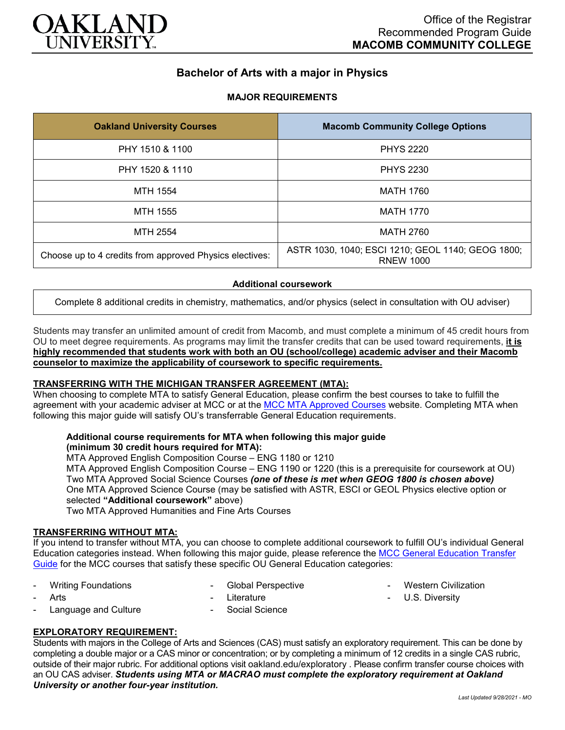

# **Bachelor of Arts with a major in Physics**

## **MAJOR REQUIREMENTS**

| <b>Oakland University Courses</b>                       | <b>Macomb Community College Options</b>                               |
|---------------------------------------------------------|-----------------------------------------------------------------------|
| PHY 1510 & 1100                                         | <b>PHYS 2220</b>                                                      |
| PHY 1520 & 1110                                         | <b>PHYS 2230</b>                                                      |
| MTH 1554                                                | <b>MATH 1760</b>                                                      |
| <b>MTH 1555</b>                                         | <b>MATH 1770</b>                                                      |
| MTH 2554                                                | MATH 2760                                                             |
| Choose up to 4 credits from approved Physics electives: | ASTR 1030, 1040; ESCI 1210; GEOL 1140; GEOG 1800;<br><b>RNEW 1000</b> |

### **Additional coursework**

Complete 8 additional credits in chemistry, mathematics, and/or physics (select in consultation with OU adviser)

Students may transfer an unlimited amount of credit from Macomb, and must complete a minimum of 45 credit hours from OU to meet degree requirements. As programs may limit the transfer credits that can be used toward requirements, **it is highly recommended that students work with both an OU (school/college) academic adviser and their Macomb counselor to maximize the applicability of coursework to specific requirements.**

### **TRANSFERRING WITH THE MICHIGAN TRANSFER AGREEMENT (MTA):**

When choosing to complete MTA to satisfy General Education, please confirm the best courses to take to fulfill the agreement with your academic adviser at MCC or at the [MCC MTA Approved Courses](http://www.macomb.edu/resources/transfer-articulation/attachments/mta-macrao-course-list.pdf) website. Completing MTA when following this major guide will satisfy OU's transferrable General Education requirements.

#### **Additional course requirements for MTA when following this major guide (minimum 30 credit hours required for MTA):**

MTA Approved English Composition Course – ENG 1180 or 1210

MTA Approved English Composition Course – ENG 1190 or 1220 (this is a prerequisite for coursework at OU) Two MTA Approved Social Science Courses *(one of these is met when GEOG 1800 is chosen above)* One MTA Approved Science Course (may be satisfied with ASTR, ESCI or GEOL Physics elective option or selected **"Additional coursework"** above)

Two MTA Approved Humanities and Fine Arts Courses

## **TRANSFERRING WITHOUT MTA:**

If you intend to transfer without MTA, you can choose to complete additional coursework to fulfill OU's individual General Education categories instead. When following this major guide, please reference the [MCC General Education Transfer](https://wwwp.oakland.edu/Assets/Oakland/program-guides/macomb-community-college/university-general-education-requirements/MCC%20Gen%20Ed.pdf)  [Guide](https://wwwp.oakland.edu/Assets/Oakland/program-guides/macomb-community-college/university-general-education-requirements/MCC%20Gen%20Ed.pdf) for the MCC courses that satisfy these specific OU General Education categories:

- Writing Foundations
- Global Perspective

- Western Civilization

- **Arts**
- Language and Culture
- **Literature**
- Social Science

- U.S. Diversity

**EXPLORATORY REQUIREMENT:**

Students with majors in the College of Arts and Sciences (CAS) must satisfy an exploratory requirement. This can be done by completing a double major or a CAS minor or concentration; or by completing a minimum of 12 credits in a single CAS rubric, outside of their major rubric. For additional options visit [oakland.edu/exploratory](http://www.oakland.edu/exploratory) . Please confirm transfer course choices with an OU CAS adviser. *Students using MTA or MACRAO must complete the exploratory requirement at Oakland University or another four-year institution.*